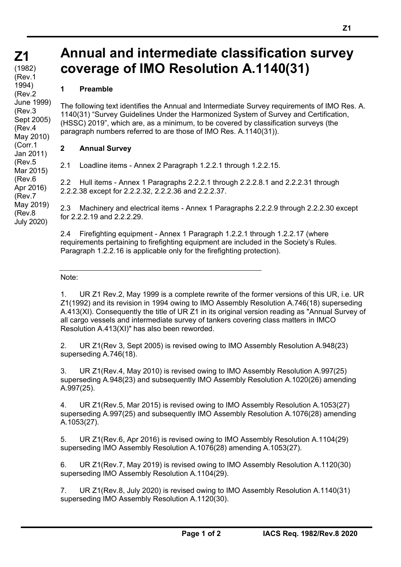## **Annual and intermediate classification survey coverage of IMO Resolution A.1140(31)**

## **1 Preamble**

The following text identifies the Annual and Intermediate Survey requirements of IMO Res. A. 1140(31) "Survey Guidelines Under the Harmonized System of Survey and Certification, (HSSC) 2019", which are, as a minimum, to be covered by classification surveys (the paragraph numbers referred to are those of IMO Res. A.1140(31)).

## **2 Annual Survey**

2.1 Loadline items - Annex 2 Paragraph 1.2.2.1 through 1.2.2.15.

2.2 Hull items - Annex 1 Paragraphs 2.2.2.1 through 2.2.2.8.1 and 2.2.2.31 through 2.2.2.38 except for 2.2.2.32, 2.2.2.36 and 2.2.2.37.

2.3 Machinery and electrical items - Annex 1 Paragraphs 2.2.2.9 through 2.2.2.30 except for 2.2.2.19 and 2.2.2.29.

2.4 Firefighting equipment - Annex 1 Paragraph 1.2.2.1 through 1.2.2.17 (where requirements pertaining to firefighting equipment are included in the Society's Rules. Paragraph 1.2.2.16 is applicable only for the firefighting protection).

## Note:

1. UR Z1 Rev.2, May 1999 is a complete rewrite of the former versions of this UR, i.e. UR Z1(1992) and its revision in 1994 owing to IMO Assembly Resolution A.746(18) superseding A.413(XI). Consequently the title of UR Z1 in its original version reading as "Annual Survey of all cargo vessels and intermediate survey of tankers covering class matters in IMCO Resolution A.413(XI)" has also been reworded.

2. UR Z1(Rev 3, Sept 2005) is revised owing to IMO Assembly Resolution A.948(23) superseding A.746(18).

3. UR Z1(Rev.4, May 2010) is revised owing to IMO Assembly Resolution A.997(25) superseding A.948(23) and subsequently IMO Assembly Resolution A.1020(26) amending A.997(25).

4. UR Z1(Rev.5, Mar 2015) is revised owing to IMO Assembly Resolution A.1053(27) superseding A.997(25) and subsequently IMO Assembly Resolution A.1076(28) amending A.1053(27).

5. UR Z1(Rev.6, Apr 2016) is revised owing to IMO Assembly Resolution A.1104(29) superseding IMO Assembly Resolution A.1076(28) amending A.1053(27).

6. UR Z1(Rev.7, May 2019) is revised owing to IMO Assembly Resolution A.1120(30) superseding IMO Assembly Resolution A.1104(29).

7. UR Z1(Rev.8, July 2020) is revised owing to IMO Assembly Resolution A.1140(31) superseding IMO Assembly Resolution A.1120(30).